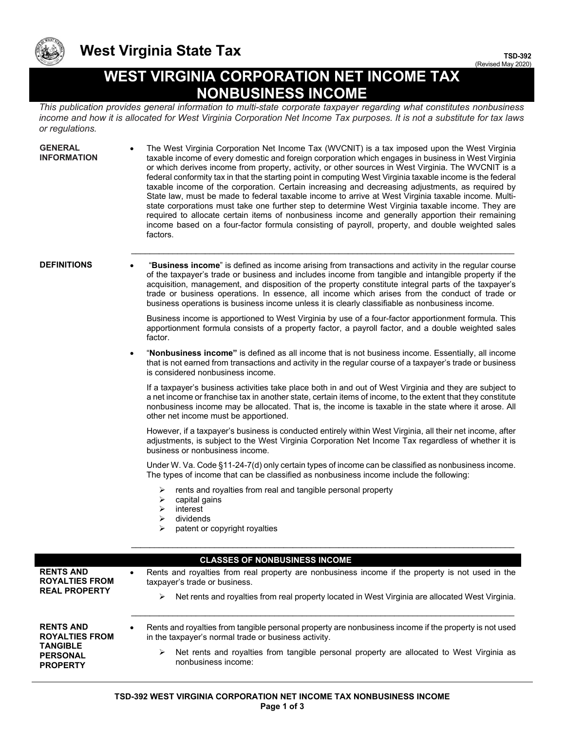

## **West Virginia State Tax**

**TSD-392** (Revised May 2020)

## **WEST VIRGINIA CORPORATION NET INCOME TAX NONBUSINESS INCOME**

*This publication provides general information to multi-state corporate taxpayer regarding what constitutes nonbusiness income and how it is allocated for West Virginia Corporation Net Income Tax purposes. It is not a substitute for tax laws or regulations.* 

**GENERAL INFORMATION** • The West Virginia Corporation Net Income Tax (WVCNIT) is a tax imposed upon the West Virginia taxable income of every domestic and foreign corporation which engages in business in West Virginia or which derives income from property, activity, or other sources in West Virginia. The WVCNIT is a federal conformity tax in that the starting point in computing West Virginia taxable income is the federal taxable income of the corporation. Certain increasing and decreasing adjustments, as required by State law, must be made to federal taxable income to arrive at West Virginia taxable income. Multistate corporations must take one further step to determine West Virginia taxable income. They are required to allocate certain items of nonbusiness income and generally apportion their remaining income based on a four-factor formula consisting of payroll, property, and double weighted sales factors.

**DEFINITIONS** • "**Business income**" is defined as income arising from transactions and activity in the regular course of the taxpayer's trade or business and includes income from tangible and intangible property if the acquisition, management, and disposition of the property constitute integral parts of the taxpayer's trade or business operations. In essence, all income which arises from the conduct of trade or business operations is business income unless it is clearly classifiable as nonbusiness income.

 $\_$  , and the set of the set of the set of the set of the set of the set of the set of the set of the set of the set of the set of the set of the set of the set of the set of the set of the set of the set of the set of th

Business income is apportioned to West Virginia by use of a four-factor apportionment formula. This apportionment formula consists of a property factor, a payroll factor, and a double weighted sales factor.

• "**Nonbusiness income"** is defined as all income that is not business income. Essentially, all income that is not earned from transactions and activity in the regular course of a taxpayer's trade or business is considered nonbusiness income.

If a taxpayer's business activities take place both in and out of West Virginia and they are subject to a net income or franchise tax in another state, certain items of income, to the extent that they constitute nonbusiness income may be allocated. That is, the income is taxable in the state where it arose. All other net income must be apportioned.

However, if a taxpayer's business is conducted entirely within West Virginia, all their net income, after adjustments, is subject to the West Virginia Corporation Net Income Tax regardless of whether it is business or nonbusiness income.

Under W. Va. Code §11-24-7(d) only certain types of income can be classified as nonbusiness income. The types of income that can be classified as nonbusiness income include the following:

 $\_$  , and the set of the set of the set of the set of the set of the set of the set of the set of the set of the set of the set of the set of the set of the set of the set of the set of the set of the set of the set of th

- $\triangleright$  rents and royalties from real and tangible personal property
- $\triangleright$  capital gains
- $\triangleright$  interest
- dividends
- patent or copyright royalties

|                                                                                                    | <b>CLASSES OF NONBUSINESS INCOME</b>                                                                                                                           |
|----------------------------------------------------------------------------------------------------|----------------------------------------------------------------------------------------------------------------------------------------------------------------|
| <b>RENTS AND</b><br><b>ROYALTIES FROM</b><br><b>REAL PROPERTY</b>                                  | Rents and royalties from real property are nonbusiness income if the property is not used in the<br>taxpayer's trade or business.                              |
|                                                                                                    | Net rents and royalties from real property located in West Virginia are allocated West Virginia.<br>➤                                                          |
| <b>RENTS AND</b><br><b>ROYALTIES FROM</b><br><b>TANGIBLE</b><br><b>PERSONAL</b><br><b>PROPERTY</b> | Rents and royalties from tangible personal property are nonbusiness income if the property is not used<br>in the taxpayer's normal trade or business activity. |
|                                                                                                    | Net rents and royalties from tangible personal property are allocated to West Virginia as<br>➤<br>nonbusiness income:                                          |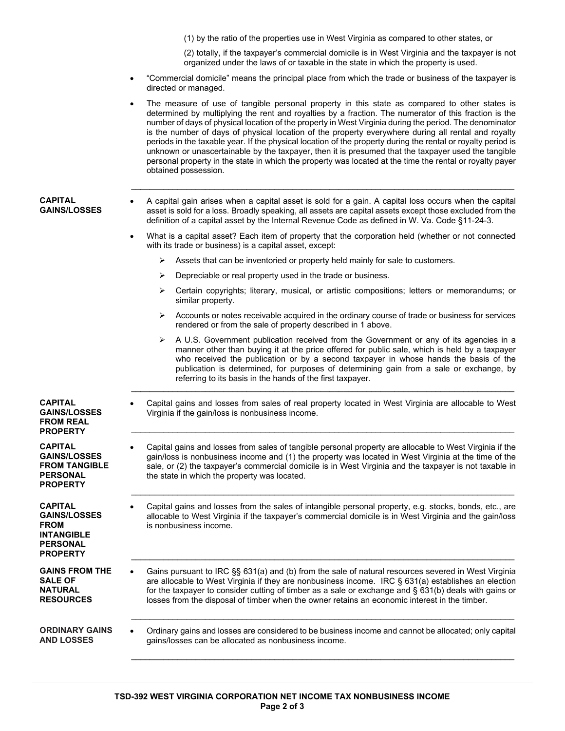(1) by the ratio of the properties use in West Virginia as compared to other states, or

(2) totally, if the taxpayer's commercial domicile is in West Virginia and the taxpayer is not organized under the laws of or taxable in the state in which the property is used.

- "Commercial domicile" means the principal place from which the trade or business of the taxpayer is directed or managed.
- The measure of use of tangible personal property in this state as compared to other states is determined by multiplying the rent and royalties by a fraction. The numerator of this fraction is the number of days of physical location of the property in West Virginia during the period. The denominator is the number of days of physical location of the property everywhere during all rental and royalty periods in the taxable year. If the physical location of the property during the rental or royalty period is unknown or unascertainable by the taxpayer, then it is presumed that the taxpayer used the tangible personal property in the state in which the property was located at the time the rental or royalty payer obtained possession.

## **CAPITAL GAINS/LOSSES**

• A capital gain arises when a capital asset is sold for a gain. A capital loss occurs when the capital asset is sold for a loss. Broadly speaking, all assets are capital assets except those excluded from the definition of a capital asset by the Internal Revenue Code as defined in W. Va. Code §11-24-3.

 $\_$  ,  $\_$  ,  $\_$  ,  $\_$  ,  $\_$  ,  $\_$  ,  $\_$  ,  $\_$  ,  $\_$  ,  $\_$  ,  $\_$  ,  $\_$  ,  $\_$  ,  $\_$  ,  $\_$  ,  $\_$  ,  $\_$  ,  $\_$  ,  $\_$  ,  $\_$  ,  $\_$  ,  $\_$  ,  $\_$  ,  $\_$  ,  $\_$  ,  $\_$  ,  $\_$  ,  $\_$  ,  $\_$  ,  $\_$  ,  $\_$  ,  $\_$  ,  $\_$  ,  $\_$  ,  $\_$  ,  $\_$  ,  $\_$  ,

- What is a capital asset? Each item of property that the corporation held (whether or not connected with its trade or business) is a capital asset, except:
	- $\triangleright$  Assets that can be inventoried or property held mainly for sale to customers.
	- $\triangleright$  Depreciable or real property used in the trade or business.
	- Certain copyrights; literary, musical, or artistic compositions; letters or memorandums; or similar property.
	- $\triangleright$  Accounts or notes receivable acquired in the ordinary course of trade or business for services rendered or from the sale of property described in 1 above.
	- $\triangleright$  A U.S. Government publication received from the Government or any of its agencies in a manner other than buying it at the price offered for public sale, which is held by a taxpayer who received the publication or by a second taxpayer in whose hands the basis of the publication is determined, for purposes of determining gain from a sale or exchange, by referring to its basis in the hands of the first taxpayer.
- **CAPITAL GAINS/LOSSES FROM REAL PROPERTY**

**CAPITAL GAINS/LOSSES FROM TANGIBLE PERSONAL PROPERTY**

**CAPITAL GAINS/LOSSES FROM INTANGIBLE PERSONAL PROPERTY**

**GAINS FROM THE SALE OF NATURAL RESOURCES**

**ORDINARY GAINS AND LOSSES**

Virginia if the gain/loss is nonbusiness income.  $\_$  , and the set of the set of the set of the set of the set of the set of the set of the set of the set of the set of the set of the set of the set of the set of the set of the set of the set of the set of the set of th

• Capital gains and losses from sales of real property located in West Virginia are allocable to West

 $\_$  ,  $\_$  ,  $\_$  ,  $\_$  ,  $\_$  ,  $\_$  ,  $\_$  ,  $\_$  ,  $\_$  ,  $\_$  ,  $\_$  ,  $\_$  ,  $\_$  ,  $\_$  ,  $\_$  ,  $\_$  ,  $\_$  ,  $\_$  ,  $\_$  ,  $\_$  ,  $\_$  ,  $\_$  ,  $\_$  ,  $\_$  ,  $\_$  ,  $\_$  ,  $\_$  ,  $\_$  ,  $\_$  ,  $\_$  ,  $\_$  ,  $\_$  ,  $\_$  ,  $\_$  ,  $\_$  ,  $\_$  ,  $\_$  ,

• Capital gains and losses from sales of tangible personal property are allocable to West Virginia if the gain/loss is nonbusiness income and (1) the property was located in West Virginia at the time of the sale, or (2) the taxpayer's commercial domicile is in West Virginia and the taxpayer is not taxable in the state in which the property was located.

 $\_$  , and the set of the set of the set of the set of the set of the set of the set of the set of the set of the set of the set of the set of the set of the set of the set of the set of the set of the set of the set of th

• Capital gains and losses from the sales of intangible personal property, e.g. stocks, bonds, etc., are allocable to West Virginia if the taxpayer's commercial domicile is in West Virginia and the gain/loss is nonbusiness income.

 $\_$  ,  $\_$  ,  $\_$  ,  $\_$  ,  $\_$  ,  $\_$  ,  $\_$  ,  $\_$  ,  $\_$  ,  $\_$  ,  $\_$  ,  $\_$  ,  $\_$  ,  $\_$  ,  $\_$  ,  $\_$  ,  $\_$  ,  $\_$  ,  $\_$  ,  $\_$ 

 $\_$  , and the set of the set of the set of the set of the set of the set of the set of the set of the set of the set of the set of the set of the set of the set of the set of the set of the set of the set of the set of th

 $\_$  , and the set of the set of the set of the set of the set of the set of the set of the set of the set of the set of the set of the set of the set of the set of the set of the set of the set of the set of the set of th

• Gains pursuant to IRC §§ 631(a) and (b) from the sale of natural resources severed in West Virginia are allocable to West Virginia if they are nonbusiness income. IRC § 631(a) establishes an election for the taxpayer to consider cutting of timber as a sale or exchange and § 631(b) deals with gains or losses from the disposal of timber when the owner retains an economic interest in the timber.

• Ordinary gains and losses are considered to be business income and cannot be allocated; only capital gains/losses can be allocated as nonbusiness income.